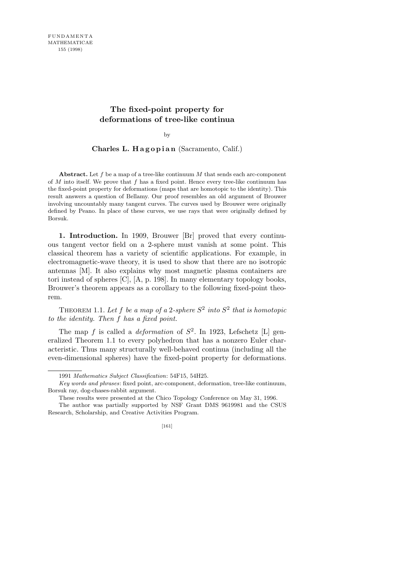## **The fixed-point property for deformations of tree-like continua**

by

**Charles L. H a g o p i a n** (Sacramento, Calif.)

**Abstract.** Let *f* be a map of a tree-like continuum *M* that sends each arc-component of *M* into itself. We prove that *f* has a fixed point. Hence every tree-like continuum has the fixed-point property for deformations (maps that are homotopic to the identity). This result answers a question of Bellamy. Our proof resembles an old argument of Brouwer involving uncountably many tangent curves. The curves used by Brouwer were originally defined by Peano. In place of these curves, we use rays that were originally defined by Borsuk.

**1. Introduction.** In 1909, Brouwer [Br] proved that every continuous tangent vector field on a 2-sphere must vanish at some point. This classical theorem has a variety of scientific applications. For example, in electromagnetic-wave theory, it is used to show that there are no isotropic antennas [M]. It also explains why most magnetic plasma containers are tori instead of spheres [C], [A, p. 198]. In many elementary topology books, Brouwer's theorem appears as a corollary to the following fixed-point theorem.

THEOREM 1.1. Let f be a map of a 2-sphere  $S^2$  into  $S^2$  that is homotopic *to the identity. Then f has a fixed point.*

The map  $f$  is called a *deformation* of  $S^2$ . In 1923, Lefschetz [L] generalized Theorem 1.1 to every polyhedron that has a nonzero Euler characteristic. Thus many structurally well-behaved continua (including all the even-dimensional spheres) have the fixed-point property for deformations.

<sup>1991</sup> *Mathematics Subject Classification*: 54F15, 54H25.

*Key words and phrases*: fixed point, arc-component, deformation, tree-like continuum, Borsuk ray, dog-chases-rabbit argument.

These results were presented at the Chico Topology Conference on May 31, 1996.

The author was partially supported by NSF Grant DMS 9619981 and the CSUS Research, Scholarship, and Creative Activities Program.

<sup>[161]</sup>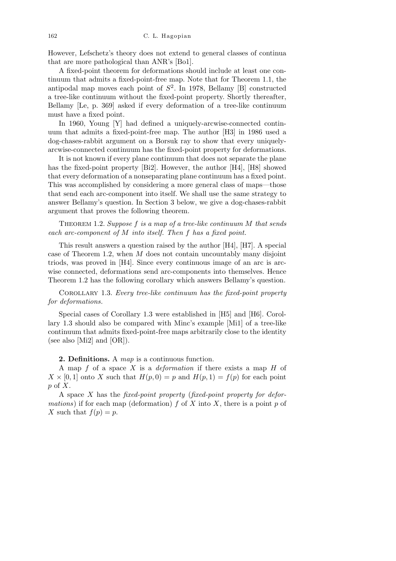However, Lefschetz's theory does not extend to general classes of continua that are more pathological than ANR's [Bo1].

A fixed-point theorem for deformations should include at least one continuum that admits a fixed-point-free map. Note that for Theorem 1.1, the antipodal map moves each point of  $S^2$ . In 1978, Bellamy [B] constructed a tree-like continuum without the fixed-point property. Shortly thereafter, Bellamy [Le, p. 369] asked if every deformation of a tree-like continuum must have a fixed point.

In 1960, Young [Y] had defined a uniquely-arcwise-connected continuum that admits a fixed-point-free map. The author [H3] in 1986 used a dog-chases-rabbit argument on a Borsuk ray to show that every uniquelyarcwise-connected continuum has the fixed-point property for deformations.

It is not known if every plane continuum that does not separate the plane has the fixed-point property [Bi2]. However, the author [H4], [H8] showed that every deformation of a nonseparating plane continuum has a fixed point. This was accomplished by considering a more general class of maps—those that send each arc-component into itself. We shall use the same strategy to answer Bellamy's question. In Section 3 below, we give a dog-chases-rabbit argument that proves the following theorem.

Theorem 1.2. *Suppose f is a map of a tree-like continuum M that sends each arc-component of M into itself. Then f has a fixed point.*

This result answers a question raised by the author [H4], [H7]. A special case of Theorem 1.2, when *M* does not contain uncountably many disjoint triods, was proved in [H4]. Since every continuous image of an arc is arcwise connected, deformations send arc-components into themselves. Hence Theorem 1.2 has the following corollary which answers Bellamy's question.

Corollary 1.3. *Every tree-like continuum has the fixed-point property for deformations.*

Special cases of Corollary 1.3 were established in [H5] and [H6]. Corollary 1.3 should also be compared with Minc's example [Mi1] of a tree-like continuum that admits fixed-point-free maps arbitrarily close to the identity (see also [Mi2] and [OR]).

**2. Definitions.** A *map* is a continuous function.

A map *f* of a space *X* is a *deformation* if there exists a map *H* of  $X \times [0, 1]$  onto X such that  $H(p, 0) = p$  and  $H(p, 1) = f(p)$  for each point *p* of *X*.

A space *X* has the *fixed-point property* (*fixed-point property for deformations*) if for each map (deformation)  $f$  of  $X$  into  $X$ , there is a point  $p$  of *X* such that  $f(p) = p$ .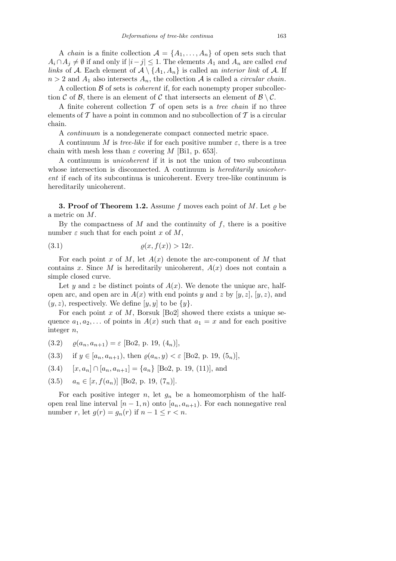A *chain* is a finite collection  $A = \{A_1, \ldots, A_n\}$  of open sets such that  $A_i \cap A_j \neq \emptyset$  if and only if  $|i-j| \leq 1$ . The elements  $A_1$  and  $A_n$  are called *end links* of *A*. Each element of  $A \setminus \{A_1, A_n\}$  is called an *interior link* of *A*. If  $n > 2$  and  $A_1$  also intersects  $A_n$ , the collection  $A$  is called a *circular chain*.

A collection *B* of sets is *coherent* if, for each nonempty proper subcollection *C* of *B*, there is an element of *C* that intersects an element of  $B \setminus C$ .

A finite coherent collection *T* of open sets is a *tree chain* if no three elements of *T* have a point in common and no subcollection of *T* is a circular chain.

A *continuum* is a nondegenerate compact connected metric space.

A continuum *M* is *tree-like* if for each positive number  $\varepsilon$ , there is a tree chain with mesh less than  $\varepsilon$  covering *M* [Bi1, p. 653].

A continuum is *unicoherent* if it is not the union of two subcontinua whose intersection is disconnected. A continuum is *hereditarily unicoherent* if each of its subcontinua is unicoherent. Every tree-like continuum is hereditarily unicoherent.

**3. Proof of Theorem 1.2.** Assume  $f$  moves each point of  $M$ . Let  $\varrho$  be a metric on *M*.

By the compactness of *M* and the continuity of *f*, there is a positive number  $\varepsilon$  such that for each point  $x$  of  $M$ ,

$$
(3.1) \t\t \t\t \varrho(x, f(x)) > 12\varepsilon.
$$

For each point *x* of *M*, let  $A(x)$  denote the arc-component of *M* that contains *x*. Since *M* is hereditarily unicoherent,  $A(x)$  does not contain a simple closed curve.

Let *y* and *z* be distinct points of  $A(x)$ . We denote the unique arc, halfopen arc, and open arc in  $A(x)$  with end points *y* and *z* by [*y, z*], [*y, z*), and  $(y, z)$ , respectively. We define  $[y, y]$  to be  $\{y\}$ .

For each point *x* of *M*, Borsuk [Bo2] showed there exists a unique sequence  $a_1, a_2, \ldots$  of points in  $A(x)$  such that  $a_1 = x$  and for each positive integer *n*,

- $(3.2)$   $\rho(a_n, a_{n+1}) = \varepsilon$  [Bo2, p. 19,  $(4_n)$ ],
- (3.3) if  $y \in [a_n, a_{n+1})$ , then  $\rho(a_n, y) < \varepsilon$  [Bo2, p. 19, (5<sub>n</sub>)],
- (3.4)  $[x, a_n] \cap [a_n, a_{n+1}] = \{a_n\}$  [Bo2, p. 19, (11)], and
- (3.5)  $a_n \in [x, f(a_n)]$  [Bo2, p. 19,  $(7_n)$ ].

For each positive integer *n*, let  $g_n$  be a homeomorphism of the halfopen real line interval  $[n-1,n)$  onto  $[a_n, a_{n+1})$ . For each nonnegative real number *r*, let  $g(r) = g_n(r)$  if  $n - 1 \le r < n$ .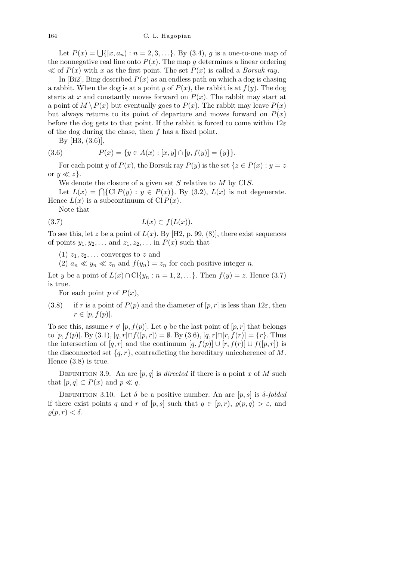Let  $P(x) = \bigcup \{ [x, a_n) : n = 2, 3, ...\}$ . By (3.4), *g* is a one-to-one map of the nonnegative real line onto  $P(x)$ . The map g determines a linear ordering  $\ll$  of *P(x)* with *x* as the first point. The set *P(x)* is called a *Borsuk ray*.

In [Bi2], Bing described  $P(x)$  as an endless path on which a dog is chasing a rabbit. When the dog is at a point *y* of  $P(x)$ , the rabbit is at  $f(y)$ . The dog starts at *x* and constantly moves forward on  $P(x)$ . The rabbit may start at a point of  $M \setminus P(x)$  but eventually goes to  $P(x)$ . The rabbit may leave  $P(x)$ but always returns to its point of departure and moves forward on  $P(x)$ before the dog gets to that point. If the rabbit is forced to come within 12*ε* of the dog during the chase, then *f* has a fixed point.

By [H3, (3.6)],

(3.6) 
$$
P(x) = \{y \in A(x) : [x, y] \cap [y, f(y)] = \{y\} \}.
$$

For each point *y* of  $P(x)$ , the Borsuk ray  $P(y)$  is the set  $\{z \in P(x) : y = z\}$ or  $y \ll z$ .

We denote the closure of a given set *S* relative to *M* by Cl *S*.

Let  $L(x) = \bigcap \{C \mid P(y) : y \in P(x)\}$ . By (3.2),  $L(x)$  is not degenerate. Hence  $L(x)$  is a subcontinuum of Cl  $P(x)$ .

Note that

$$
(3.7) \tL(x) \subset f(L(x)).
$$

To see this, let *z* be a point of  $L(x)$ . By [H2, p. 99, (8)], there exist sequences of points  $y_1, y_2, \ldots$  and  $z_1, z_2, \ldots$  in  $P(x)$  such that

 $(1)$   $z_1, z_2, \ldots$  converges to *z* and

(2)  $a_n \ll y_n \ll z_n$  and  $f(y_n) = z_n$  for each positive integer *n*.

Let *y* be a point of *L*(*x*) ∩ Cl{*y<sub>n</sub>* : *n* = 1, 2, . . .}. Then *f*(*y*) = *z*. Hence (3.7) is true.

For each point  $p$  of  $P(x)$ ,

(3.8) if *r* is a point of  $P(p)$  and the diameter of  $[p, r]$  is less than 12 $\varepsilon$ , then  $r \in [p, f(p)].$ 

To see this, assume  $r \notin [p, f(p)]$ . Let q be the last point of  $[p, r]$  that belongs to  $[p, f(p)]$ . By (3.1),  $[q, r] ∩ f([p, r]) = ∅$ . By (3.6),  $[q, r] ∩ [r, f(r)] = {r}.$  Thus the intersection of  $[q, r]$  and the continuum  $[q, f(p)] \cup [r, f(r)] \cup f([p, r])$  is the disconnected set  $\{q, r\}$ , contradicting the hereditary unicoherence of *M*. Hence (3.8) is true.

DEFINITION 3.9. An arc  $[p, q]$  is *directed* if there is a point *x* of *M* such that  $[p, q] \subset P(x)$  and  $p \ll q$ .

DEFINITION 3.10. Let  $\delta$  be a positive number. An arc  $[p, s]$  is  $\delta$ -*folded* if there exist points *q* and *r* of  $[p, s]$  such that  $q \in [p, r)$ ,  $\varrho(p, q) > \varepsilon$ , and  $\rho(p,r) < \delta$ .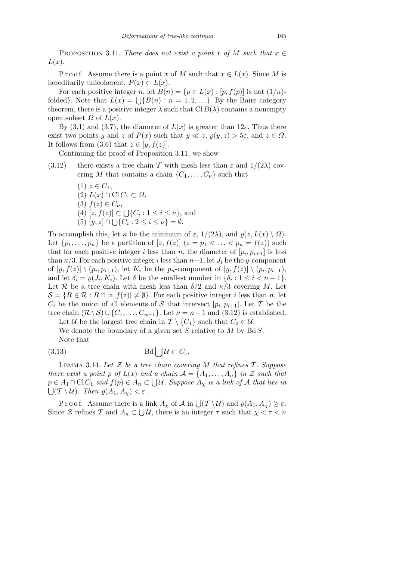PROPOSITION 3.11. *There does not exist a point x of*  $M$  *such that*  $x \in$ *L*(*x*)*.*

Proof. Assume there is a point *x* of *M* such that  $x \in L(x)$ . Since *M* is hereditarily unicoherent,  $P(x) \subset L(x)$ .

For each positive integer *n*, let  $B(n) = \{p \in L(x) : [p, f(p)] \text{ is not } (1/n)$ for each positive integer *n*, let  $B(n) = \{p \in L(x) : [p, f(p)] \text{ is not } (1/n)$ -<br>folded}. Note that  $L(x) = \bigcup \{B(n) : n = 1, 2, ...\}$ . By the Baire category theorem, there is a positive integer  $\lambda$  such that Cl  $B(\lambda)$  contains a nonempty open subset  $Ω$  of  $L(x)$ .

By (3.1) and (3.7), the diameter of  $L(x)$  is greater than 12 $\varepsilon$ . Thus there exist two points *y* and *z* of  $P(x)$  such that  $y \ll z$ ,  $\rho(y, z) > 5\epsilon$ , and  $z \in \Omega$ . It follows from (3.6) that  $z \in [y, f(z)]$ .

Continuing the proof of Proposition 3.11, we show

(3.12) there exists a tree chain *T* with mesh less than  $\varepsilon$  and  $1/(2\lambda)$  covering *M* that contains a chain  $\{C_1, \ldots, C_{\nu}\}\$  such that

\n- (1) 
$$
z \in C_1
$$
,
\n- (2)  $L(x) \cap \text{Cl } C_1 \subset \Omega$ ,
\n- (3)  $f(z) \in C_{\nu}$ ,
\n- (4)  $[z, f(z)] \subset \bigcup \{C_i : 1 \leq i \leq \nu\}$ , and
\n- (5)  $[y, z] \cap \bigcup \{C_i : 2 \leq i \leq \nu\} = \emptyset$ .
\n

To accomplish this, let  $\kappa$  be the minimum of  $\varepsilon$ ,  $1/(2\lambda)$ , and  $\varrho(z, L(x) \setminus \Omega)$ . Let  $\{p_1, \ldots, p_n\}$  be a partition of  $[z, f(z)]$   $(z = p_1 < \ldots < p_n = f(z))$  such that for each positive integer *i* less than *n*, the diameter of  $[p_i, p_{i+1}]$  is less than  $\kappa/3$ . For each positive integer *i* less than  $n-1$ , let  $J_i$  be the *y*-component of  $[y, f(z)] \setminus (p_i, p_{i+1})$ , let  $K_i$  be the  $p_n$ -component of  $[y, f(z)] \setminus (p_i, p_{i+1})$ , and let  $\delta_i = \varrho(J_i, K_i)$ . Let  $\delta$  be the smallest number in  $\{\delta_i : 1 \leq i \leq n-1\}$ . Let *R* be a tree chain with mesh less than  $\delta/2$  and  $\kappa/3$  covering *M*. Let  $\mathcal{S} = \{R \in \mathcal{R} : R \cap [z, f(z)] \neq \emptyset\}$ . For each positive integer *i* less than *n*, let  $C_i$  be the union of all elements of *S* that intersect  $[p_i, p_{i+1}]$ . Let *T* be the tree chain  $(\mathcal{R} \setminus \mathcal{S}) \cup \{C_1, \ldots, C_{n-1}\}$ . Let  $\nu = n-1$  and (3.12) is established.

Let *U* be the largest tree chain in  $\mathcal{T} \setminus \{C_1\}$  such that  $C_2 \in \mathcal{U}$ . We denote the boundary of a given set *S* relative to *M* by Bd *S*. Note that

(3.13) 
$$
\text{Bd} \big| \big| \mathcal{U} \subset C_1.
$$

Lemma 3.14. *Let Z be a tree chain covering M that refines T . Suppose there exist a point p of*  $L(x)$  *and a chain*  $A = \{A_1, \ldots, A_n\}$  *in*  $Z$  *such that*  $p \in A_1 \cap \text{Cl } C_1$  and  $f(p) \in A_n \subset \bigcup \mathcal{U}$ . Suppose  $A_\chi$  is a link of  $\mathcal A$  that lies in  $\bigcup (\mathcal{T} \setminus \mathcal{U})$ *. Then*  $\varrho(A_1, A_\chi) < \varepsilon$ *.* 

Proof. Assume there is a link  $A_\chi$  of  $\mathcal A$  in  $\bigcup (\mathcal T \setminus \mathcal U)$  and  $\varrho(A_1, A_\chi) \geq \varepsilon$ . Since  $\mathcal Z$  refines  $\mathcal T$  and  $A_n \subset \bigcup \mathcal U$ , there is an integer  $\tau$  such that  $\chi < \tau < n$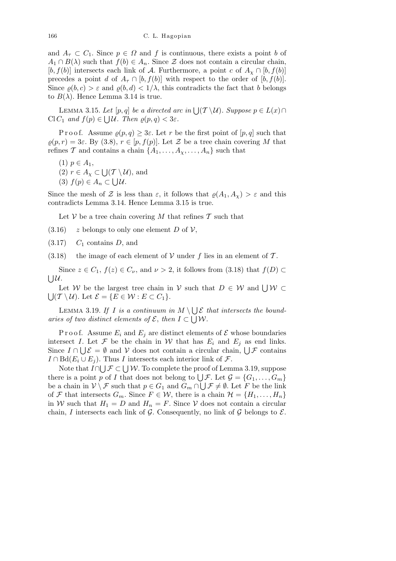and  $A_{\tau} \subset C_1$ . Since  $p \in \Omega$  and f is continuous, there exists a point *b* of  $A_1 \cap B(\lambda)$  such that  $f(b) \in A_n$ . Since  $\mathcal Z$  does not contain a circular chain,  $[b, f(b)]$  intersects each link of *A*. Furthermore, a point *c* of  $A_\chi \cap [b, f(b)]$ precedes a point *d* of  $A_{\tau} \cap [b, f(b)]$  with respect to the order of  $[b, f(b)]$ . Since  $\varrho(b, c) > \varepsilon$  and  $\varrho(b, d) < 1/\lambda$ , this contradicts the fact that *b* belongs to  $B(\lambda)$ . Hence Lemma 3.14 is true.

LEMMA 3.15. Let  $[p, q]$  be a directed arc in  $\bigcup_{\mathcal{I}} (\mathcal{T} \setminus \mathcal{U})$ . Suppose  $p \in L(x) \cap$  $\text{Cl}(C_1 \text{ and } f(p) \in \bigcup \mathcal{U}. \text{ Then } \varrho(p,q) < 3\varepsilon.$ 

P r o o f. Assume  $\rho(p,q) \geq 3\varepsilon$ . Let r be the first point of  $[p,q]$  such that  $\rho(p,r) = 3\varepsilon$ . By (3.8),  $r \in [p, f(p)]$ . Let  $\mathcal Z$  be a tree chain covering M that refines *T* and contains a chain  $\{A_1, \ldots, A_{\chi}, \ldots, A_n\}$  such that

- $(1)$  *p* ∈ *A*<sub>1</sub>,
- $(2)$  *r* ∈ *A*<sub>*x*</sub> ⊂ S  $(\mathcal{T} \setminus \mathcal{U})$ , and
- (3)  $f(p) \in A_n \subset \bigcup \mathcal{U}$ .

Since the mesh of *Z* is less than  $\varepsilon$ , it follows that  $\rho(A_1, A_\nu) > \varepsilon$  and this contradicts Lemma 3.14. Hence Lemma 3.15 is true.

Let *V* be a tree chain covering *M* that refines  $\mathcal T$  such that

- $(3.16)$  *z* belongs to only one element *D* of *V*,
- (3.17) *C*<sup>1</sup> contains *D*, and
- $(3.18)$  the image of each element of *V* under *f* lies in an element of *T*.

Since  $z \in C_1$ ,  $f(z) \in C_\nu$ , and  $\nu > 2$ , it follows from (3.18) that  $f(D) \subset$ S *U*.

Let *W* be the largest tree chain in *V* such that  $D \in W$  and  $\bigcup W \subset$ S  $({\cal T} \setminus {\cal U})$ . Let  ${\cal E} = \{E \in {\cal W} : E \subset C_1\}.$ 

LEMMA 3.19. If *I* is a continuum in  $M \setminus$ S  $\bigcup \mathcal{E}$  *that intersects the boundaries of two distinct elements of*  $\mathcal{E}$ , *then*  $I \subset \bigcup \mathcal{W}$ *.* 

P r o o f. Assume  $E_i$  and  $E_j$  are distinct elements of  $\mathcal E$  whose boundaries intersect *I*. Let  $\mathcal F$  be the chain in  $\mathcal W$  that has  $E_i$  and  $E_j$  as end links. Figures *I*  $\Omega$ . Let  $\mathcal{F}$  be the chain in *VV* that has  $E_i$  and  $E_j$  as end links.<br>Since  $I \cap \bigcup \mathcal{E} = \emptyset$  and  $\mathcal{V}$  does not contain a circular chain,  $\bigcup \mathcal{F}$  contains  $I \cap \text{Bd}(E_i \cup E_j)$ . Thus *I* intersects each interior link of *F*.

 $\text{Bd}(E_i \cup E_j)$ . Thus *I* intersects each interior into or *J*.<br>Note that  $I \cap \bigcup \mathcal{F} \subset \bigcup \mathcal{W}$ . To complete the proof of Lemma 3.19, suppose Fractual *I*  $\cup$  *F*  $\cup$  *VV*. To complete the proof of Lemma 5.19, suppose there is a point *p* of *I* that does not belong to  $\cup$  *F*. Let  $\mathcal{G} = \{G_1, \ldots, G_m\}$ be a chain in  $V \setminus \mathcal{F}$  such that  $p \in G_1$  and  $G_m \cap \bigcup \mathcal{F} \neq \emptyset$ . Let *F* be the link of *F* that intersects  $G_m$ . Since  $F \in \mathcal{W}$ , there is a chain  $\mathcal{H} = \{H_1, \ldots, H_n\}$ in *W* such that  $H_1 = D$  and  $H_n = F$ . Since *V* does not contain a circular chain, *I* intersects each link of  $G$ . Consequently, no link of  $G$  belongs to  $E$ .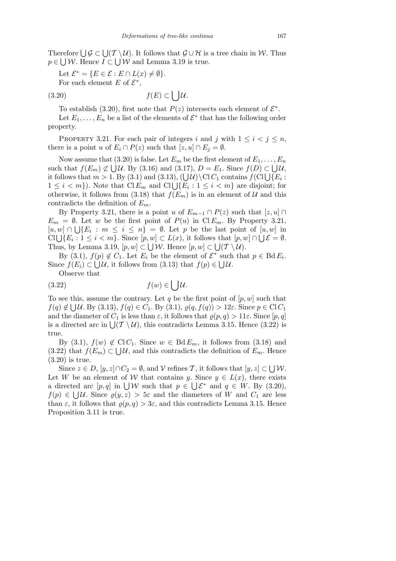Therefore  $\bigcup_{i=1}^n G \subset \bigcup_{i=1}^n (T \setminus \mathcal{U})$ . It follows that  $\mathcal{G} \cup \mathcal{H}$  is a tree chain in *W*. Thus  $p \in \bigcup \mathcal{W}$ . Hence  $I \subset \bigcup \mathcal{W}$  and Lemma 3.19 is true.

Let  $\mathcal{E}^* = \{ E \in \mathcal{E} : E \cap L(x) \neq \emptyset \}.$ 

For each element  $E$  of  $\mathcal{E}^*$ ,

property.

$$
(3.20) \t\t f(E) \subset \bigcup \mathcal{U}.
$$

To establish (3.20), first note that  $P(z)$  intersects each element of  $\mathcal{E}^*$ . Let  $E_1, \ldots, E_n$  be a list of the elements of  $\mathcal{E}^*$  that has the following order

PROPERTY 3.21. For each pair of integers *i* and *j* with  $1 \leq i \leq j \leq n$ , there is a point *u* of  $E_i \cap P(z)$  such that  $[z, u] \cap E_j = \emptyset$ .

Now assume that  $(3.20)$  is false. Let  $E_m$  be the first element of  $E_1, \ldots, E_n$ such that  $f(E_m) \not\subset \bigcup \mathcal{U}$ . By (3.16) and (3.17),  $D = E_1$ . Since  $f(D) \subset \bigcup \mathcal{U}$ , such that  $f(E_m) \not\subseteq \bigcup \mathcal{U}$ . By (3.10) and (3.17),  $D = E_1$ . Since  $f(D) \subseteq \bigcup \mathcal{U}$ ,<br>it follows that  $m > 1$ . By (3.1) and (3.13),  $(\bigcup \mathcal{U}) \setminus \text{Cl} C_1$  contains  $f(\text{Cl}) \setminus \{E_i :$ *n* ionows that *m* > 1. by (3.1) and (3.13), (∪*u*) \Cl C<sub>1</sub> contains  $f$  (Cl ∪{ $E_i$  : 1 ≤ *i* < *m*}. Note that Cl  $E_m$  and Cl ∪{ $E_i$  : 1 ≤ *i* < *m*} are disjoint; for otherwise, it follows from (3.18) that  $f(E_m)$  is in an element of  $U$  and this contradicts the definition of *Em*.

By Property 3.21, there is a point *u* of  $E_{m-1} \cap P(z)$  such that  $[z, u] \cap$  $E_m = \emptyset$ . Let *w* be the first point of  $P(u)$  in Cl  $E_m$ . By Property 3.21,  $[u, w] ∩ ∪ \{E_i : m \leq i \leq n\} = ∅$ . Let *p* be the last point of  $[u, w]$  in  $[a, w] \cap \bigcup \{E_i : m \leq i \leq n\} = \emptyset$ . Let p be the last point of  $[a, w]$  in<br>Cl  $\bigcup \{E_i : 1 \leq i < m\}$ . Since  $[p, w] \subset L(x)$ , it follows that  $[p, w] \cap \bigcup \mathcal{E} = \emptyset$ . Thus, by Lemma 3.19,  $[p, w] \subset \bigcup \mathcal{W}$ . Hence  $[p, w] \subset \bigcup (\mathcal{T} \setminus \mathcal{U})$ .

By (3.1),  $f(p) \notin C_1$ . Let  $E_i$  be the element of  $\mathcal{E}^*$  such that  $p \in \text{Bd} E_i$ . Since  $f(E_i) \subset \bigcup \mathcal{U}$ , it follows from (3.13) that  $f(p) \in \bigcup \mathcal{U}$ .

Observe that

(3.22) 
$$
f(w) \in \bigcup \mathcal{U}.
$$

To see this, assume the contrary. Let *q* be the first point of  $[p, w]$  such that  $f(q) \notin \bigcup \mathcal{U}$ . By (3.13),  $f(q) \in C_1$ . By (3.1),  $\varrho(q, f(q)) > 12\varepsilon$ . Since  $p \in \text{Cl } C_1$ and the diameter of  $C_1$  is less than  $\varepsilon$ , it follows that  $\varrho(p,q) > 11\varepsilon$ . Since  $[p,q]$ and the diameter of  $C_1$  is less than  $\varepsilon$ , it follows that  $\varrho(p,q) > 1$  is. Since  $[p,q]$  is a directed arc in  $\bigcup_{i=1}^{n} (\mathcal{T} \setminus \mathcal{U})$ , this contradicts Lemma 3.15. Hence (3.22) is true.

By (3.1),  $f(w) \notin \text{Cl}(C_1)$ . Since  $w \in \text{Bd}E_m$ , it follows from (3.18) and  $(3.22)$  that  $f(E_m) \subset \bigcup \mathcal{U}$ , and this contradicts the definition of  $E_m$ . Hence (3.20) is true. S

Since  $z \in D$ ,  $[y, z] \cap C_2 = \emptyset$ , and  $\mathcal V$  refines  $\mathcal T$ , it follows that  $[y, z] \subset$ *W*. Let *W* be an element of *W* that contains *y*. Since  $y \in L(x)$ , there exists Let W be an element of W that contains y. since  $y \in L(x)$ , there exists<br>a directed arc  $[p,q]$  in  $\bigcup W$  such that  $p \in \bigcup \mathcal{E}^*$  and  $q \in W$ . By (3.20),  $f(p) \in \bigcup \mathcal{U}$ . Since  $\varrho(y, z) > 5\varepsilon$  and the diameters of *W* and  $C_1$  are less than  $\varepsilon$ , it follows that  $\rho(p,q) > 3\varepsilon$ , and this contradicts Lemma 3.15. Hence Proposition 3.11 is true.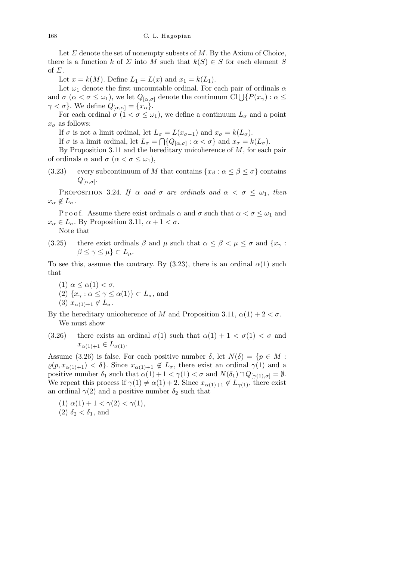Let  $\Sigma$  denote the set of nonempty subsets of  $M$ . By the Axiom of Choice, there is a function *k* of *Σ* into *M* such that  $k(S) \in S$  for each element *S* of *Σ*.

Let  $x = k(M)$ . Define  $L_1 = L(x)$  and  $x_1 = k(L_1)$ .

Let  $\omega_1$  denote the first uncountable ordinal. For each pair of ordinals  $\alpha$ Let  $\omega_1$  denote the first uncountable ordinal. For each pair of ordinals  $\alpha$ <br>and  $\sigma$  ( $\alpha < \sigma \leq \omega_1$ ), we let  $Q_{[\alpha,\sigma]}$  denote the continuum Cl $\bigcup \{P(x_\gamma) : \alpha \leq \sigma \}$ *γ* < *σ}*. We define  $Q_{[α,α]} = \{x_\alpha\}$ .

For each ordinal  $\sigma$  ( $1 < \sigma \leq \omega_1$ ), we define a continuum  $L_{\sigma}$  and a point  $x_{\sigma}$  as follows:

If  $\sigma$  is not a limit ordinal, let  $L_{\sigma} = L(x_{\sigma-1})$  and  $x_{\sigma} = k(L_{\sigma})$ .

If  $\sigma$  is a limit ordinal, let  $L_{\sigma} = \bigcap \{Q_{[\alpha,\sigma]} : \alpha < \sigma\}$  and  $x_{\sigma} = k(L_{\sigma})$ .

By Proposition 3.11 and the hereditary unicoherence of *M*, for each pair of ordinals  $\alpha$  and  $\sigma$  ( $\alpha < \sigma \leq \omega_1$ ),

(3.23) every subcontinuum of *M* that contains  $\{x_\beta : \alpha \leq \beta \leq \sigma\}$  contains  $Q_{[\alpha,\sigma]}$ .

PROPOSITION 3.24. *If*  $\alpha$  *and*  $\sigma$  *are ordinals and*  $\alpha < \sigma \leq \omega_1$ , *then*  $x_{\alpha} \notin L_{\sigma}$ .

P r o o f. Assume there exist ordinals  $\alpha$  and  $\sigma$  such that  $\alpha < \sigma \leq \omega_1$  and  $x_{\alpha} \in L_{\sigma}$ . By Proposition 3.11,  $\alpha + 1 < \sigma$ . Note that

(3.25) there exist ordinals  $\beta$  and  $\mu$  such that  $\alpha \leq \beta < \mu \leq \sigma$  and  $\{x_{\gamma} :$  $β ≤ γ ≤ μ$ } ⊂  $L<sub>μ</sub>$ .

To see this, assume the contrary. By (3.23), there is an ordinal  $\alpha(1)$  such that

(1)  $\alpha \leq \alpha(1) < \sigma$ ,

(2)  $\{x_\gamma : \alpha \leq \gamma \leq \alpha(1)\} \subset L_\sigma$ , and

 $(3)$   $x_{\alpha(1)+1} \notin L_{\sigma}$ .

By the hereditary unicoherence of *M* and Proposition 3.11,  $\alpha(1) + 2 < \sigma$ . We must show

(3.26) there exists an ordinal  $\sigma(1)$  such that  $\alpha(1) + 1 < \sigma(1) < \sigma$  and  $x_{\alpha(1)+1} \in L_{\sigma(1)}$ .

Assume (3.26) is false. For each positive number  $\delta$ , let  $N(\delta) = \{p \in M :$  $\varrho(p, x_{\alpha(1)+1}) < \delta$ . Since  $x_{\alpha(1)+1} \notin L_{\sigma}$ , there exist an ordinal  $\gamma(1)$  and a positive number  $\delta_1$  such that  $\alpha(1) + 1 < \gamma(1) < \sigma$  and  $N(\delta_1) \cap Q_{[\gamma(1),\sigma]} = \emptyset$ . We repeat this process if  $\gamma(1) \neq \alpha(1) + 2$ . Since  $x_{\alpha(1)+1} \notin L_{\gamma(1)}$ , there exist an ordinal  $\gamma(2)$  and a positive number  $\delta_2$  such that

(1)  $\alpha(1) + 1 < \gamma(2) < \gamma(1)$ , (2)  $\delta_2 < \delta_1$ , and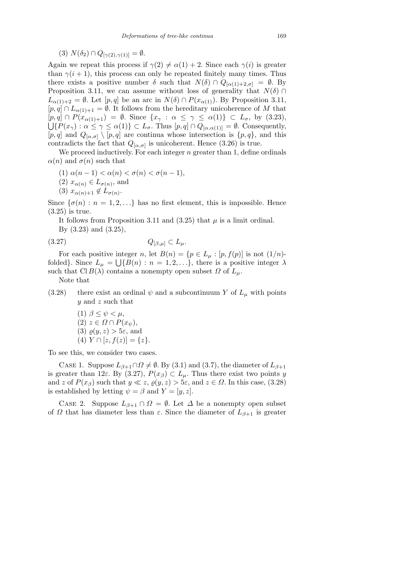$(3)$   $N(\delta_2) \cap Q_{[\gamma(2), \gamma(1)]} = \emptyset.$ 

Again we repeat this process if  $\gamma(2) \neq \alpha(1) + 2$ . Since each  $\gamma(i)$  is greater than  $\gamma(i+1)$ , this process can only be repeated finitely many times. Thus there exists a positive number  $\delta$  such that  $N(\delta) \cap Q_{\lceil \alpha(1) + 2, \sigma \rceil} = \emptyset$ . By Proposition 3.11, we can assume without loss of generality that  $N(\delta) \cap$  $L_{\alpha(1)+2} = \emptyset$ . Let  $[p,q]$  be an arc in  $N(\delta) \cap P(x_{\alpha(1)})$ . By Proposition 3.11, [ $p, q$ ] ∩  $L_{\alpha(1)+1} = ∅$ . It follows from the hereditary unicoherence of *M* that  $[p,q] \cap P(x_{\alpha(1)+1}) = \emptyset$ . Since  $\{x_{\gamma} : \alpha \leq \gamma \leq \alpha(1)\} \subset L_{\sigma}$ , by (3.23),  $\bigcup \{P(x_{\gamma}) : \alpha \leq \gamma \leq \alpha(1)\} \subset L_{\sigma}$ . Thus  $[p,q] \cap \overline{Q_{[\alpha,\alpha(1)]}} = \emptyset$ . Consequently, [*p, q*] and  $Q_{[\alpha,\sigma]} \setminus [p,q]$  are continua whose intersection is  $\{p,q\}$ , and this contradicts the fact that  $Q_{\alpha,\sigma}$  is unicoherent. Hence (3.26) is true.

We proceed inductively. For each integer *n* greater than 1, define ordinals *α*(*n*) and *σ*(*n*) such that

- (1)  $α(n-1) < α(n) < σ(n) < σ(n-1)$ ,
- $(2)$   $x_{\alpha(n)} \in L_{\sigma(n)}$ , and
- $(3)$   $x_{\alpha(n)+1} \notin L_{\sigma(n)}$ .

Since  $\{\sigma(n): n = 1, 2, \ldots\}$  has no first element, this is impossible. Hence (3.25) is true.

It follows from Proposition 3.11 and  $(3.25)$  that  $\mu$  is a limit ordinal. By (3.23) and (3.25),

$$
(3.27) \tQ_{[\beta,\mu]} \subset L_{\mu}.
$$

For each positive integer *n*, let  $B(n) = \{p \in L_\mu : [p, f(p)] \text{ is not } (1/n)$ folded<sup>}</sup>. Since  $L_{\mu} = \bigcup \{B(n) : n = 1, 2, \ldots\}$ , there is a positive integer  $\lambda$ such that  $\text{Cl } B(\lambda)$  contains a nonempty open subset  $\Omega$  of  $L_{\mu}$ .

Note that

(3.28) there exist an ordinal  $\psi$  and a subcontinuum *Y* of  $L_\mu$  with points *y* and *z* such that

(1) 
$$
\beta \leq \psi < \mu
$$
, \n(2)  $z \in \Omega \cap P(x_{\psi})$ , \n(3)  $\varrho(y, z) > 5\varepsilon$ , and \n(4)  $Y \cap [z, f(z)] = \{z\}$ .

To see this, we consider two cases.

CASE 1. Suppose  $L_{\beta+1} \cap \Omega \neq \emptyset$ . By (3.1) and (3.7), the diameter of  $L_{\beta+1}$ is greater than 12 $\varepsilon$ . By (3.27),  $P(x_\beta) \subset L_\mu$ . Thus there exist two points *y* and *z* of  $P(x_\beta)$  such that  $y \ll z$ ,  $\rho(y, z) > 5\varepsilon$ , and  $z \in \Omega$ . In this case, (3.28) is established by letting  $\psi = \beta$  and  $Y = [y, z]$ .

CASE 2. Suppose  $L_{\beta+1} \cap \Omega = \emptyset$ . Let  $\Delta$  be a nonempty open subset of *Ω* that has diameter less than  $\varepsilon$ . Since the diameter of  $L_{\beta+1}$  is greater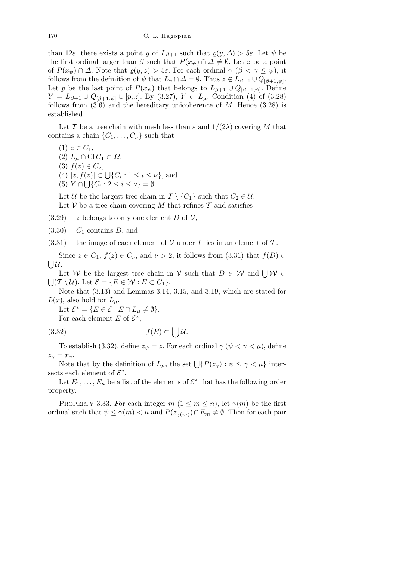than 12*ε*, there exists a point *y* of  $L_{\beta+1}$  such that  $\rho(y, \Delta) > 5\varepsilon$ . Let  $\psi$  be the first ordinal larger than  $\beta$  such that  $P(x_{\psi}) \cap \Delta \neq \emptyset$ . Let *z* be a point of  $P(x_{\psi}) \cap \Delta$ . Note that  $\varrho(y, z) > 5\varepsilon$ . For each ordinal  $\gamma$  ( $\beta < \gamma \leq \psi$ ), it follows from the definition of  $\psi$  that  $L_{\gamma} \cap \Delta = \emptyset$ . Thus  $z \notin L_{\beta+1} \cup Q_{[\beta+1,\psi]}$ . Let *p* be the last point of  $P(x_{\psi})$  that belongs to  $L_{\beta+1} \cup Q_{[\beta+1,\psi]}$ . Define *Y* = *L*<sub>*β*+1</sub> *∪ Q*<sub>[*β*+1*,ψ*] *∪* [*p, z*]. By (3.27), *Y* ⊂ *L*<sub>*µ*</sub>. Condition (4) of (3.28)</sub> follows from  $(3.6)$  and the hereditary unicoherence of  $M$ . Hence  $(3.28)$  is established.

Let *T* be a tree chain with mesh less than  $\varepsilon$  and  $1/(2\lambda)$  covering *M* that contains a chain  $\{C_1, \ldots, C_{\nu}\}\$  such that

 $(1)$   $z \in C_1$ ,

- $(2)$   $L_{\mu} \cap \mathrm{Cl} C_1 \subset \Omega$ ,
- $(3)$   $f(z) \in C_{\nu}$ , S
- (4) [*z, f*(*z*)] *⊂*  $(z)$   $\subset \bigcup \{C_i : 1 \leq i \leq \nu\}$ , and
- $(5)$   $Y \cap \bigcup \{C_i : 2 \leq i \leq \nu\} = \emptyset.$

Let *U* be the largest tree chain in  $\mathcal{T} \setminus \{C_1\}$  such that  $C_2 \in \mathcal{U}$ . Let  $V$  be a tree chain covering M that refines  $T$  and satisfies

 $(3.29)$  *z* belongs to only one element *D* of *V*,

(3.30) *C*<sup>1</sup> contains *D*, and

 $(3.31)$  the image of each element of *V* under *f* lies in an element of *T*.

Since  $z \in C_1$ ,  $f(z) \in C_\nu$ , and  $\nu > 2$ , it follows from (3.31) that  $f(D) \subset$ S *U*.

Let *W* be the largest tree chain in *V* such that  $D \in W$  and  $\bigcup W \subset$ S  $({\cal T} \setminus {\cal U})$ . Let  ${\cal E} = \{E \in {\cal W} : E \subset C_1\}.$ 

Note that (3.13) and Lemmas 3.14, 3.15, and 3.19, which are stated for  $L(x)$ , also hold for  $L_\mu$ .

Let  $\mathcal{E}^* = \{ E \in \mathcal{E} : E \cap L_\mu \neq \emptyset \}.$ 

For each element *E* of  $\mathcal{E}^*$ ,

$$
(3.32)\t\t f(E) \subset \bigcup \mathcal{U}.
$$

To establish (3.32), define  $z_{\psi} = z$ . For each ordinal  $\gamma$  ( $\psi < \gamma < \mu$ ), define  $z_{\gamma} = x_{\gamma}$ .

Note that by the definition of  $L_{\mu}$ , the set  $\bigcup \{P(z_{\gamma}) : \psi \leq \gamma < \mu\}$  intersects each element of  $\mathcal{E}^*$ .

Let  $E_1, \ldots, E_n$  be a list of the elements of  $\mathcal{E}^*$  that has the following order property.

PROPERTY 3.33. For each integer  $m$  ( $1 \leq m \leq n$ ), let  $\gamma(m)$  be the first ordinal such that  $\psi \leq \gamma(m) < \mu$  and  $P(z_{\gamma(m)}) \cap E_m \neq \emptyset$ . Then for each pair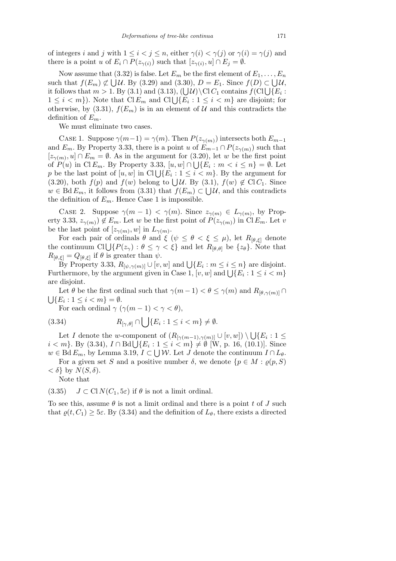of integers *i* and *j* with  $1 \leq i < j \leq n$ , either  $\gamma(i) < \gamma(j)$  or  $\gamma(i) = \gamma(j)$  and there is a point *u* of  $E_i \cap P(z_{\gamma(i)})$  such that  $[z_{\gamma(i)}, u] \cap E_j = \emptyset$ .

Now assume that  $(3.32)$  is false. Let  $E_m$  be the first element of  $E_1, \ldots, E_n$ such that  $f(E_m) \not\subset \bigcup \mathcal{U}$ . By (3.29) and (3.30),  $D = E_1$ . Since  $f(D) \subset \bigcup \mathcal{U}$ , such that  $f(E_m) \not\subseteq \bigcup \mathcal{U}$ . By (3.29) and (3.30),  $D = E_1$ . Since  $f(D) \subseteq \bigcup \mathcal{U}$ ,<br>it follows that  $m > 1$ . By (3.1) and (3.13),  $(\bigcup \mathcal{U}) \setminus \text{Cl} C_1$  contains  $f(\text{Cl}) \cup \{E_i$ : *n* ionows that *m* > 1. by (3.1) and (3.13), (∪*a*/ $\setminus$ Cl  $C_1$  contains  $f(C)$ ( $E_i$ :<br>1 ≤ *i* < *m*}). Note that Cl  $E_m$  and Cl  $\bigcup \{E_i : 1 \le i$  < *m*} are disjoint; for otherwise, by  $(3.31)$ ,  $f(E_m)$  is in an element of  $U$  and this contradicts the definition of *Em*.

We must eliminate two cases.

CASE 1. Suppose  $\gamma(m-1) = \gamma(m)$ . Then  $P(z_{\gamma(m)})$  intersects both  $E_{m-1}$ and  $E_m$ . By Property 3.33, there is a point *u* of  $E_{m-1} \cap P(z_{\gamma(m)})$  such that  $[z_{\gamma(m)}, u] \cap E_m = \emptyset$ . As in the argument for (3.20), let *w* be the first point of  $P(u)$  in Cl  $E_m$ . By Property 3.33,  $[u, w] \cap \bigcup \{E_i : m < i \leq n\} = \emptyset$ . Let  $p$  be the last point of  $[u, w]$  in Cl  $\bigcup \{E_i : 1 \le i \le m\}$ . By the argument for  $p$ for the rast point of  $[u, w]$  in Cr $\bigcup \{E_i : 1 \le i \le m\}$ . By the argument for (3.20), both  $f(p)$  and  $f(w)$  belong to  $\bigcup \mathcal{U}$ . By (3.1),  $f(w) \notin \text{Cl}C_1$ . Since  $w \in \text{Bd} E_m$ , it follows from (3.31) that  $f(E_m) \subset \bigcup \mathcal{U}$ , and this contradicts the definition of  $E_m$ . Hence Case 1 is impossible.

CASE 2. Suppose  $\gamma(m-1) < \gamma(m)$ . Since  $z_{\gamma(m)} \in L_{\gamma(m)}$ , by Property 3.33,  $z_{\gamma(m)}$   $\notin E_m$ . Let *w* be the first point of  $P(z_{\gamma(m)})$  in Cl  $E_m$ . Let *v* be the last point of  $[z_{\gamma(m)}, w]$  in  $L_{\gamma(m)}$ .

For each pair of ordinals  $\theta$  and  $\xi$  ( $\psi \leq \theta < \xi \leq \mu$ ), let  $R_{\theta,\xi}$  denote for each pair of ordinals  $\theta$  and  $\xi$  ( $\psi \le \theta < \xi \le \mu$ ), let  $R_{[\theta,\xi]}$  denote<br>the continuum Cl  $\bigcup \{P(z_{\gamma}) : \theta \le \gamma < \xi \}$  and let  $R_{[\theta,\theta]}$  be  $\{z_{\theta}\}$ . Note that  $R_{\lbrack \theta,\xi \rbrack} = Q_{\lbrack \theta,\xi \rbrack}$  if  $\theta$  is greater than  $\psi$ .

By Property 3.33,  $R_{[\psi,\gamma(m)]} \cup [v,w]$  and  $\bigcup \{E_i : m \leq i \leq n\}$  are disjoint. For Froperty 3.33,  $R_{\llbracket \psi, \gamma(m) \rrbracket} \cup \llbracket v, w \rrbracket$  and  $\bigcup \{ E_i : m \le i \le n \}$  are disjoint.<br>Furthermore, by the argument given in Case 1,  $[v, w]$  and  $\bigcup \{ E_i : 1 \le i < m \}$ are disjoint.

Let  $\theta$  be the first ordinal such that  $\gamma(m-1) < \theta \leq \gamma(m)$  and  $R_{[\theta,\gamma(m)]} \cap$ S  ${E_i : 1 \leq i < m} = \emptyset.$ 

For each ordinal  $\gamma$  ( $\gamma$ ( $m-1$ ) <  $\gamma$  <  $\theta$ ),  $\overline{\phantom{a}}$ 

(3.34) 
$$
R_{[\gamma,\theta]} \cap \bigcup \{E_i : 1 \leq i < m\} \neq \emptyset.
$$

Let *I* denote the *w*-component of  $(R_{\lceil \gamma(m-1), \gamma(m) \rceil} \cup [v, w])$ S *{E<sup>i</sup>* : 1 *≤ i*  $\lt m$  *k*. By (3.34), *I* ∩ Bd  $\bigcup \{E_i : 1 \leq i \leq m\} \neq \emptyset$  [W, p. 16, (10.1)]. Since *w* ∈ Bd  $E_m$ , by Lemma 3.19,  $I \subset \bigcup \mathcal{W}$ . Let *J* denote the continuum  $I \cap L_{\theta}$ .

For a given set *S* and a positive number  $\delta$ , we denote  $\{p \in M : \rho(p, S)\}$  $\langle \delta \rangle$  by  $N(S, \delta)$ .

Note that

(3.35)  $J \subset \text{Cl } N(C_1, 5\varepsilon)$  if  $\theta$  is not a limit ordinal.

To see this, assume *θ* is not a limit ordinal and there is a point *t* of *J* such that  $\rho(t, C_1) \geq 5\varepsilon$ . By (3.34) and the definition of  $L_\theta$ , there exists a directed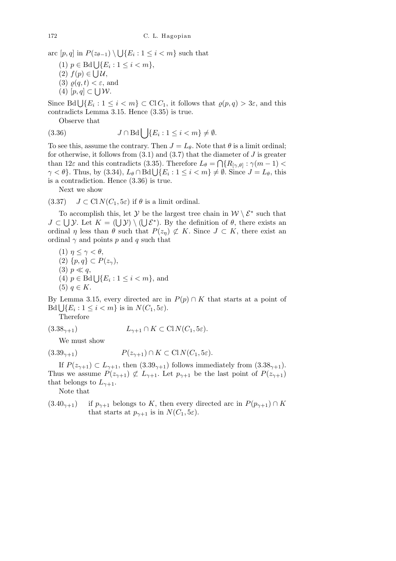arc  $[p, q]$  in  $P(z_{\theta-1}) \setminus$ S  ${E_i : 1 \leq i < m}$  such that

- $(1)$   $p \in \text{Bd} \bigcup \{E_i : 1 \leq i < m\},$
- $(2) f(p) ∈ ∪ \mathcal{U},$
- (3)  $\rho(q, t) < \varepsilon$ , and
- $(4)$  [ $p, q$ ] ⊂  $\bigcup \mathcal{W}$ .

Since  $Bd \bigcup \{E_i : 1 \leq i < m\} \subset ClC_1$ , it follows that  $\varrho(p,q) > 3\varepsilon$ , and this contradicts Lemma 3.15. Hence (3.35) is true.

Observe that

(3.36) 
$$
J \cap \text{Bd} \bigcup \{E_i : 1 \leq i < m\} \neq \emptyset.
$$

To see this, assume the contrary. Then  $J = L_{\theta}$ . Note that  $\theta$  is a limit ordinal; for otherwise, it follows from  $(3.1)$  and  $(3.7)$  that the diameter of *J* is greater than  $12\varepsilon$  and this contradicts (3.35). Therefore  $L_{\theta} = \bigcap \{R_{[\gamma,\theta]} : \gamma(m-1)$  $\gamma < \theta$ . Thus, by (3.34),  $L_{\theta} \cap \text{Bd} \cup \{E_i : 1 \le i < m\} \neq \emptyset$ . Since  $J = L_{\theta}$ , this is a contradiction. Hence (3.36) is true.

Next we show

(3.37)  $J \subset \text{Cl } N(C_1, 5\varepsilon)$  if  $\theta$  is a limit ordinal.

To accomplish this, let *Y* be the largest tree chain in  $W \setminus \mathcal{E}^*$  such that *J* ⊂  $\cup$  *Y*. Let *K* =  $(\cup)$   $\vee$   $\setminus$   $(\cup)$  *k*<sup>\*</sup>). By the definition of *θ*, there exists an ordinal *η* less than  $\theta$  such that  $P(z_n) \not\subset K$ . Since  $J \subset K$ , there exist an ordinal  $\gamma$  and points *p* and *q* such that

(1)  $\eta \leq \gamma \leq \theta$ , (2) *{p, q} ⊂ P*(*zγ*),  $(3)$   $p \ll q$ ,  $(4)$   $p \in \text{Bd}\bigcup \{E_i : 1 \leq i < m\}$ , and  $(5)$  *q* ∈ *K*.

By Lemma 3.15, every directed arc in  $P(p) \cap K$  that starts at a point of  $Bd \bigcup \{E_i : 1 \leq i < m\}$  is in  $N(C_1, 5\varepsilon)$ .

Therefore

$$
(3.38_{\gamma+1}) \qquad L_{\gamma+1} \cap K \subset \text{Cl}\,N(C_1, 5\varepsilon).
$$

We must show

$$
(3.39\gamma+1) \t P(z\gamma+1) \cap K \subset \text{Cl} \, N(C_1, 5\varepsilon).
$$

If  $P(z_{\gamma+1}) \subset L_{\gamma+1}$ , then  $(3.39_{\gamma+1})$  follows immediately from  $(3.38_{\gamma+1})$ . Thus we assume  $P(z_{\gamma+1}) \not\subset L_{\gamma+1}$ . Let  $p_{\gamma+1}$  be the last point of  $P(z_{\gamma+1})$ that belongs to  $L_{\gamma+1}$ .

Note that

 $(3.40<sub>γ+1</sub>)$  if  $p_{γ+1}$  belongs to *K*, then every directed arc in  $P(p_{γ+1}) \cap K$ that starts at  $p_{\gamma+1}$  is in  $N(C_1, 5\varepsilon)$ .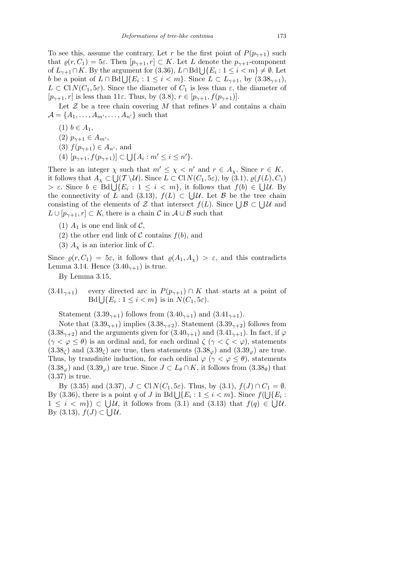To see this, assume the contrary. Let *r* be the first point of  $P(p_{\gamma+1})$  such that  $\varrho(r, C_1) = 5\varepsilon$ . Then  $[p_{\gamma+1}, r] \subset K$ . Let *L* denote the  $p_{\gamma+1}$ -component of  $L_{\gamma+1} \cap K$ . By the argument for (3.36),  $L \cap \text{Bd} \bigcup \{E_i : 1 \leq i \leq m\} \neq \emptyset$ . Let  $b$  be a point of *L* ∩ Bd∪{*E<sub>i</sub>*: 1 ≤ *i* < *m*}. Since *L* ⊂ *L*<sub>γ+1</sub>, by (3.38<sub>γ+1</sub>), b  $L \subset \text{Cl}(N(C_1, 5\varepsilon))$ . Since the diameter of  $C_1$  is less than  $\varepsilon$ , the diameter of  $[p_{\gamma+1}, r]$  is less than 11 $\varepsilon$ . Thus, by (3.8),  $r \in [p_{\gamma+1}, f(p_{\gamma+1})]$ .

Let  $\mathcal Z$  be a tree chain covering  $M$  that refines  $\mathcal V$  and contains a chain  $\mathcal{A} = \{A_1, \ldots, A_{m'}, \ldots, A_{n'}\}$  such that

- $(1)$  *b* ∈ *A*<sub>1</sub>,
- $(2)$   $p_{\gamma+1} \in A_{m'}$ ,
- $(3)$   $f(p_{\gamma+1}) \in A_{n'}$ , and u<br>U
- (4) [*pγ*+1*, f*(*pγ*+1)] *⊂* { $A_i : m' \leq i \leq n'$  }.

There is an integer  $\chi$  such that  $m' \leq \chi \leq n'$  and  $r \in A_{\chi}$ . Since  $r \in K$ , it follows that  $A_\chi \subset \bigcup_{\chi} (T \setminus \mathcal{U})$ . Since  $L \subset \text{Cl} N(C_1, 5\varepsilon)$ , by (3.1),  $\varrho(f(L), C_1)$ *x*  $\epsilon$ . Since  $b \in \text{Bd}\bigcup \{E_i : 1 \leq i < m\}$ , it follows that  $f(b) \in \bigcup \mathcal{U}$ . By the connectivity of *L* and (3.13),  $f(L) \subset \bigcup \mathcal{U}$ . Let *B* be the tree chain consisting of the elements of *Z* that intersect  $f(L)$ . Since  $\bigcup \mathcal{B} \subset \bigcup \mathcal{U}$  and  $L \cup [p_{\gamma+1}, r] \subset K$ , there is a chain  $\mathcal{C}$  in  $\mathcal{A} \cup \mathcal{B}$  such that

- (1)  $A_1$  is one end link of  $C$ ,
- (2) the other end link of  $C$  contains  $f(b)$ , and
- (3)  $A_\chi$  is an interior link of C.

Since  $\varrho(r, C_1) = 5\varepsilon$ , it follows that  $\varrho(A_1, A_\chi) > \varepsilon$ , and this contradicts Lemma 3.14. Hence  $(3.40<sub>γ+1</sub>)$  is true.

By Lemma 3.15,

 $(3.41<sub>γ+1</sub>)$  every directed arc in  $P(p_{γ+1}) \cap K$  that starts at a point of  $Bd \bigcup \{E_i : 1 \leq i < m\}$  is in  $N(C_1, 5\varepsilon)$ .

Statement  $(3.39_{\gamma+1})$  follows from  $(3.40_{\gamma+1})$  and  $(3.41_{\gamma+1})$ .

Note that  $(3.39<sub>γ+1</sub>)$  implies  $(3.38<sub>γ+2</sub>)$ . Statement  $(3.39<sub>γ+2</sub>)$  follows from  $(3.38<sub>γ+2</sub>)$  and the arguments given for  $(3.40<sub>γ+1</sub>)$  and  $(3.41<sub>γ+1</sub>)$ . In fact, if  $\varphi$  $(\gamma < \varphi \leq \theta)$  is an ordinal and, for each ordinal  $\zeta$  ( $\gamma < \zeta < \varphi$ ), statements  $(3.38<sub>\zeta</sub>)$  and  $(3.39<sub>\zeta</sub>)$  are true, then statements  $(3.38<sub>\varphi</sub>)$  and  $(3.39<sub>\varphi</sub>)$  are true. Thus, by transfinite induction, for each ordinal  $\varphi$  ( $\gamma < \varphi \leq \theta$ ), statements  $(3.38<sub>\varphi</sub>)$  and  $(3.39<sub>\varphi</sub>)$  are true. Since  $J \subset L_{\theta} \cap K$ , it follows from  $(3.38<sub>\theta</sub>)$  that (3.37) is true.

By (3.35) and (3.37),  $J \subset \text{Cl} N(C_1, 5\varepsilon)$ . Thus, by (3.1),  $f(J) \cap C_1 = \emptyset$ . By (3.36), there is a point *q* of *J* in Bd  $\bigcup \{E_i : 1 \le i \le m\}$ . Since  $f(\bigcup \{E_i : 1 \le i \le m\})$ . 1 ≤ *i* < *m*}) ⊂ UU, it follows from (3.1) and (3.13) that  $f(q) \in \bigcup \mathcal{U}$ . By  $(3.13)$ ,  $f(J)$  ⊂  $\bigcup \mathcal{U}$ .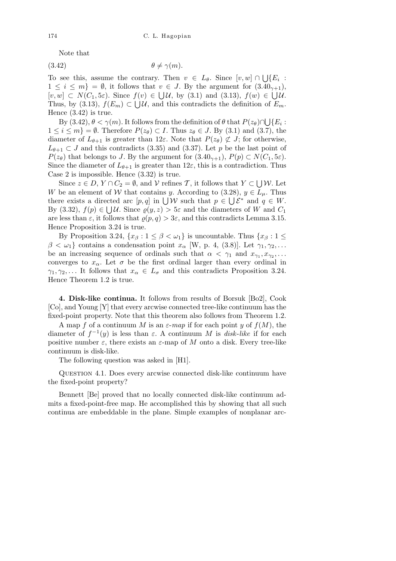Note that

$$
(3.42) \t\t \theta \neq \gamma(m).
$$

To see this, assume the contrary. Then  $v \in L_{\theta}$ . Since  $[v, w] \cap$ S  ${E_i}$ :  $1 \leq i \leq m$ } =  $\emptyset$ , it follows that  $v \in J$ . By the argument for  $(3.40_{\gamma+1})$ ,  $[v, w] \subset N(C_1, 5\varepsilon)$ . Since  $f(v) \in \bigcup \mathcal{U}$ , by (3.1) and (3.13),  $f(w) \in \bigcup \mathcal{U}$ . Thus, by (3.13),  $f(E_m) \subset \bigcup \mathcal{U}$ , and this contradicts the definition of  $E_m$ . Hence (3.42) is true. S

By  $(3.42), \theta < \gamma(m)$ . It follows from the definition of  $\theta$  that  $P(z_{\theta}) \cap$  $\{E_i:$ 1 ≤ *i* ≤ *m*} =  $\emptyset$ . Therefore  $P(z_{\theta}) \subset I$ . Thus  $z_{\theta} \in J$ . By (3.1) and (3.7), the diameter of  $L_{\theta+1}$  is greater than 12 $\varepsilon$ . Note that  $P(z_{\theta}) \not\subset J$ ; for otherwise,  $L_{\theta+1} \subset J$  and this contradicts (3.35) and (3.37). Let *p* be the last point of *P*(*z*<sup>*θ*</sup>) that belongs to *J*. By the argument for  $(3.40<sub>γ+1</sub>)$ ,  $P(p) \subset N(C_1, 5\varepsilon)$ . Since the diameter of  $L_{\theta+1}$  is greater than  $12\varepsilon$ , this is a contradiction. Thus Case 2 is impossible. Hence (3.32) is true. S

Since  $z \in D$ ,  $Y \cap C_2 = \emptyset$ , and  $V$  refines  $\mathcal{T}$ , it follows that  $Y \subset$ *W*. Let *W* be an element of *W* that contains *y*. According to (3.28),  $y \in L_\mu$ . Thus *w* be an element of *vv* that contains *y*. According to (5.28),  $y \in L_{\mu}$ . Thus there exists a directed arc  $[p,q]$  in  $\bigcup \mathcal{W}$  such that  $p \in \bigcup \mathcal{E}^*$  and  $q \in W$ . By (3.32),  $f(p) \in \bigcup \mathcal{U}$ . Since  $g(y, z) > 5\varepsilon$  and the diameters of *W* and  $C_1$ are less than  $\varepsilon$ , it follows that  $\rho(p,q) > 3\varepsilon$ , and this contradicts Lemma 3.15. Hence Proposition 3.24 is true.

By Proposition 3.24,  $\{x_\beta : 1 \leq \beta < \omega_1\}$  is uncountable. Thus  $\{x_\beta : 1 \leq \beta < \omega_1\}$  $\beta < \omega_1$ } contains a condensation point  $x_\alpha$  [W, p. 4, (3.8)]. Let  $\gamma_1, \gamma_2, \ldots$ be an increasing sequence of ordinals such that  $\alpha < \gamma_1$  and  $x_{\gamma_1}, x_{\gamma_2}, \ldots$ converges to  $x_\alpha$ . Let  $\sigma$  be the first ordinal larger than every ordinal in *γ*<sub>1</sub>*, γ*<sub>2</sub>*,...* It follows that  $x_\alpha \in L_\sigma$  and this contradicts Proposition 3.24. Hence Theorem 1.2 is true.

**4. Disk-like continua.** It follows from results of Borsuk [Bo2], Cook [Co], and Young [Y] that every arcwise connected tree-like continuum has the fixed-point property. Note that this theorem also follows from Theorem 1.2.

A map f of a continuum M is an  $\varepsilon$ -map if for each point *y* of  $f(M)$ , the diameter of  $f^{-1}(y)$  is less than  $\varepsilon$ . A continuum *M* is *disk-like* if for each positive number  $\varepsilon$ , there exists an  $\varepsilon$ -map of *M* onto a disk. Every tree-like continuum is disk-like.

The following question was asked in [H1].

Question 4.1. Does every arcwise connected disk-like continuum have the fixed-point property?

Bennett [Be] proved that no locally connected disk-like continuum admits a fixed-point-free map. He accomplished this by showing that all such continua are embeddable in the plane. Simple examples of nonplanar arc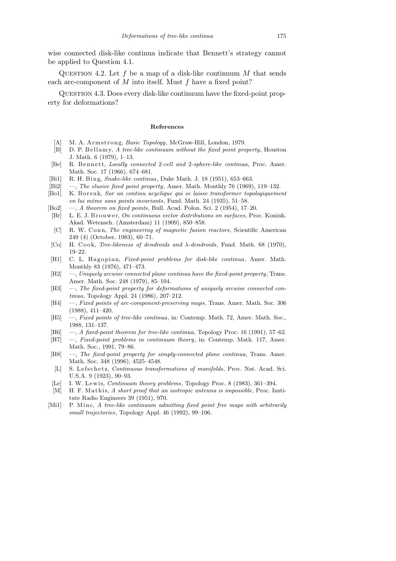wise connected disk-like continua indicate that Bennett's strategy cannot be applied to Question 4.1.

QUESTION 4.2. Let  $f$  be a map of a disk-like continuum  $M$  that sends each arc-component of *M* into itself. Must *f* have a fixed point?

QUESTION 4.3. Does every disk-like continuum have the fixed-point property for deformations?

## **References**

- [A] M. A. Armstrong, *Basic Topology*, McGraw-Hill, London, 1979.
- [B] D. P. B ell am y, *A tree-like continuum without the fixed point property*, Houston J. Math. 6 (1979), 1–13.
- [Be] R. Bennett, *Locally connected* 2-cell and 2-sphere-like continua, Proc. Amer. Math. Soc. 17 (1966), 674–681.
- [Bi1] R. H. Bing, *Snake-like continua*, Duke Math. J. 18 (1951), 653–663.
- [Bi2] —, *The elusive fixed point property*, Amer. Math. Monthly 76 (1969), 119–132.
- [Bo1] K. Borsuk, *Sur un continu acyclique qui se laisse transformer topologiquement en lui mˆeme sans points invariants*, Fund. Math. 24 (1935), 51–58.
- [Bo2] —, *A theorem on fixed points*, Bull. Acad. Polon. Sci. 2 (1954), 17–20.
- [Br] L. E. J. Brouwer, *On continuous vector distributions on surfaces*, Proc. Konink. Akad. Wetensch. (Amsterdam) 11 (1909), 850–858.
- [C] R. W. C o n n, *The engineering of magnetic fusion reactors*, Scientific American 249 (4) (October, 1983), 60–71.
- [Co] H. Cook, *Tree-likeness of dendroids and*  $\lambda$ -*dendroids*, Fund. Math. 68 (1970), 19–22.
- [H1] C. L. Hagopian, *Fixed-point problems for disk-like continua*, Amer. Math. Monthly 83 (1976), 471–473.
- [H2] —, *Uniquely arcwise connected plane continua have the fixed-point property*, Trans. Amer. Math. Soc. 248 (1979), 85–104.
- [H3]  $-$ , *The fixed-point property for deformations of uniquely arcwise connected continua*, Topology Appl. 24 (1986), 207–212.
- [H4] —, *Fixed points of arc-component-preserving maps*, Trans. Amer. Math. Soc. 306 (1988), 411–420.
- [H5] —, *Fixed points of tree-like continua*, in: Contemp. Math. 72, Amer. Math. Soc., 1988, 131–137.
- [H6] —, *A fixed-point theorem for tree-like continua*, Topology Proc. 16 (1991), 57–62.
- [H7] —, *Fixed-point problems in continuum theory*, in: Contemp. Math. 117, Amer. Math. Soc., 1991, 79–86.
- [H8] —, *The fixed-point property for simply-connected plane continua*, Trans. Amer. Math. Soc. 348 (1996), 4525–4548.
- [L] S. Lefschetz, *Continuous transformations of manifolds*, Proc. Nat. Acad. Sci. U.S.A. 9 (1923), 90–93.
- [Le] I. W. L ewi s, *Continuum theory problems*, Topology Proc. 8 (1983), 361–394.
- [M] H. F. Mathis, *A short proof that an isotropic antenna is impossible*, Proc. Institute Radio Engineers 39 (1951), 970.
- [Mi1] P. Minc. *A tree-like continuum admitting fixed point free maps with arbitrarily small trajectories*, Topology Appl. 46 (1992), 99–106.